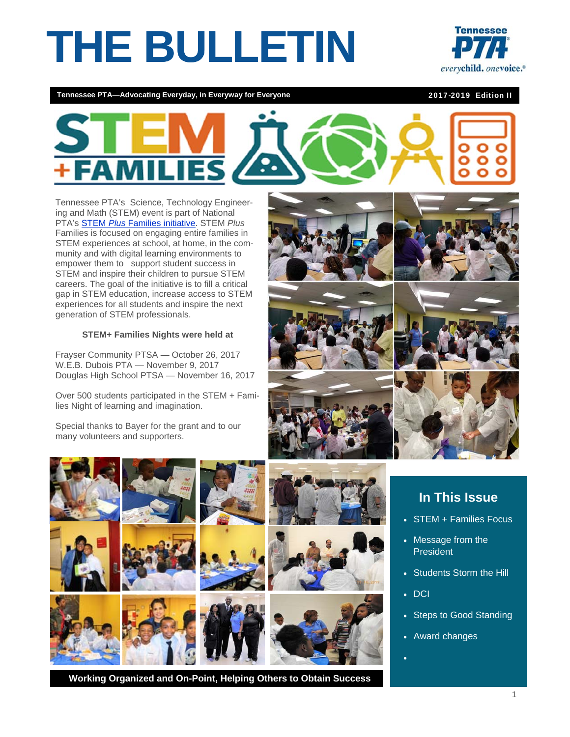# **THE BULLETIN**



**Tennessee PTA—Advocating Everyday, in Everyway for Everyone** 2017-2019 Edition II



Tennessee PTA's Science, Technology Engineering and Math (STEM) event is part of National PTA's STEM *Plus* Families initiative. STEM *Plus* Families is focused on engaging entire families in STEM experiences at school, at home, in the community and with digital learning environments to empower them to support student success in STEM and inspire their children to pursue STEM careers. The goal of the initiative is to fill a critical gap in STEM education, increase access to STEM experiences for all students and inspire the next generation of STEM professionals.

#### **STEM+ Families Nights were held at**

Frayser Community PTSA — October 26, 2017 W.E.B. Dubois PTA — November 9, 2017 Douglas High School PTSA — November 16, 2017

Over 500 students participated in the STEM + Families Night of learning and imagination.

Special thanks to Bayer for the grant and to our many volunteers and supporters.



# **In This Issue**

- STEM + Families Focus
- Message from the President
- Students Storm the Hill
- $\cdot$  DCI
- Steps to Good Standing
- Award changes
- $\bullet$

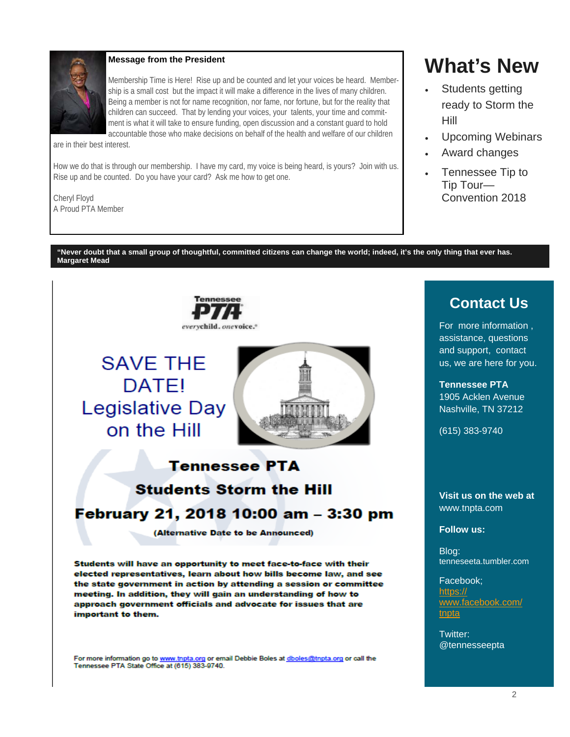

#### **Message from the President**

Membership Time is Here! Rise up and be counted and let your voices be heard. Membership is a small cost but the impact it will make a difference in the lives of many children. Being a member is not for name recognition, nor fame, nor fortune, but for the reality that children can succeed. That by lending your voices, your talents, your time and commitment is what it will take to ensure funding, open discussion and a constant guard to hold accountable those who make decisions on behalf of the health and welfare of our children

are in their best interest.

How we do that is through our membership. I have my card, my voice is being heard, is yours? Join with us. Rise up and be counted. Do you have your card? Ask me how to get one.

Cheryl Floyd A Proud PTA Member

# **What's New**

- Students getting ready to Storm the Hill
- Upcoming Webinars
- Award changes
- Tennessee Tip to Tip Tour— Convention 2018

**"Never doubt that a small group of thoughtful, committed citizens can change the world; indeed, it's the only thing that ever has. Margaret Mead** 



For more information go to www.tnpta.org or email Debbie Boles at dboles@tnpta.org or call the Tennessee PTA State Office at (615) 383-9740.

# **Contact Us**

For more information , assistance, questions and support, contact us, we are here for you.

**Tennessee PTA**  1905 Acklen Avenue Nashville, TN 37212

(615) 383-9740

**Visit us on the web at**  www.tnpta.com

#### **Follow us:**

Blog: tenneseeta.tumbler.com

Facebook; https:// www.facebook.com/ tnpta

Twitter: @tennesseepta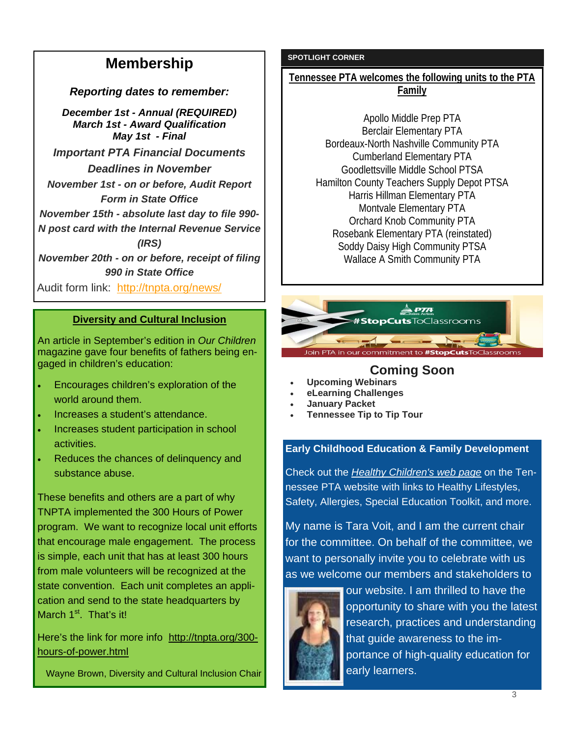# **Membership**

*Reporting dates to remember:*

*December 1st - Annual (REQUIRED) March 1st - Award Qualification May 1st - Final* 

*Important PTA Financial Documents Deadlines in November November 1st - on or before, Audit Report Form in State Office* 

*November 15th - absolute last day to file 990- N post card with the Internal Revenue Service* 

*(IRS)* 

*November 20th - on or before, receipt of filing 990 in State Office*

Audit form link: http://tnpta.org/news/

#### **Diversity and Cultural Inclusion**

An article in September's edition in *Our Children* magazine gave four benefits of fathers being engaged in children's education:

- Encourages children's exploration of the world around them.
- Increases a student's attendance.
- Increases student participation in school activities.
- Reduces the chances of delinquency and substance abuse.

These benefits and others are a part of why TNPTA implemented the 300 Hours of Power program. We want to recognize local unit efforts that encourage male engagement. The process is simple, each unit that has at least 300 hours from male volunteers will be recognized at the state convention. Each unit completes an application and send to the state headquarters by March  $1<sup>st</sup>$ . That's it!

Here's the link for more info http://tnpta.org/300 hours-of-power.html

Wayne Brown, Diversity and Cultural Inclusion Chair

#### **SPOTLIGHT CORNER**

**Tennessee PTA welcomes the following units to the PTA Family** 

Apollo Middle Prep PTA Berclair Elementary PTA Bordeaux-North Nashville Community PTA Cumberland Elementary PTA Goodlettsville Middle School PTSA Hamilton County Teachers Supply Depot PTSA Harris Hillman Elementary PTA Montvale Elementary PTA Orchard Knob Community PTA Rosebank Elementary PTA (reinstated) Soddy Daisy High Community PTSA Wallace A Smith Community PTA



## **Coming Soon**

- **Upcoming Webinars**
- **eLearning Challenges**
- **January Packet**
- **Tennessee Tip to Tip Tour**

#### **Early Childhood Education & Family Development**

Check out the *Healthy Children's web page* on the Tennessee PTA website with links to Healthy Lifestyles, Safety, Allergies, Special Education Toolkit, and more.

My name is Tara Voit, and I am the current chair for the committee. On behalf of the committee, we want to personally invite you to celebrate with us as we welcome our members and stakeholders to



our website. I am thrilled to have the opportunity to share with you the latest research, practices and understanding that guide awareness to the importance of high-quality education for early learners.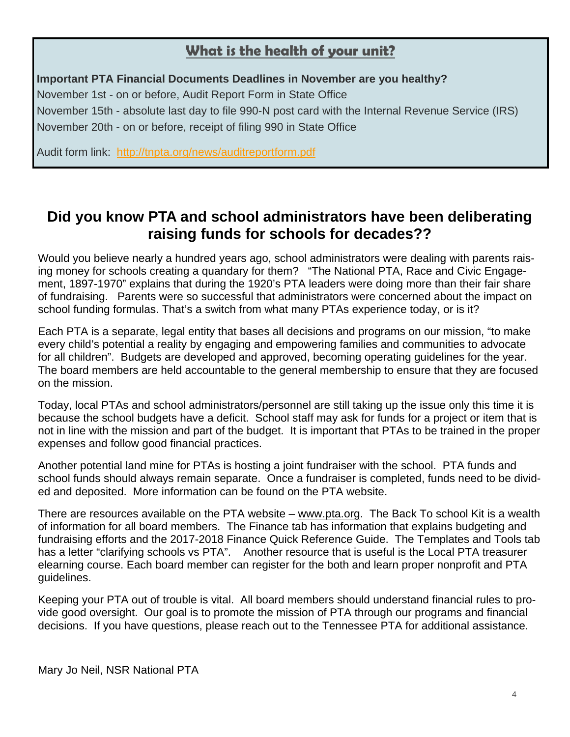# **What is the health of your unit?**

#### **Important PTA Financial Documents Deadlines in November are you healthy?**

November 1st - on or before, Audit Report Form in State Office November 15th - absolute last day to file 990-N post card with the Internal Revenue Service (IRS) November 20th - on or before, receipt of filing 990 in State Office

Audit form link: http://tnpta.org/news/auditreportform.pdf

# **Did you know PTA and school administrators have been deliberating raising funds for schools for decades??**

Would you believe nearly a hundred years ago, school administrators were dealing with parents raising money for schools creating a quandary for them? "The National PTA, Race and Civic Engagement, 1897-1970" explains that during the 1920's PTA leaders were doing more than their fair share of fundraising. Parents were so successful that administrators were concerned about the impact on school funding formulas. That's a switch from what many PTAs experience today, or is it?

Each PTA is a separate, legal entity that bases all decisions and programs on our mission, "to make every child's potential a reality by engaging and empowering families and communities to advocate for all children". Budgets are developed and approved, becoming operating guidelines for the year. The board members are held accountable to the general membership to ensure that they are focused on the mission.

Today, local PTAs and school administrators/personnel are still taking up the issue only this time it is because the school budgets have a deficit. School staff may ask for funds for a project or item that is not in line with the mission and part of the budget. It is important that PTAs to be trained in the proper expenses and follow good financial practices.

Another potential land mine for PTAs is hosting a joint fundraiser with the school. PTA funds and school funds should always remain separate. Once a fundraiser is completed, funds need to be divided and deposited. More information can be found on the PTA website.

There are resources available on the PTA website – www.pta.org. The Back To school Kit is a wealth of information for all board members. The Finance tab has information that explains budgeting and fundraising efforts and the 2017-2018 Finance Quick Reference Guide. The Templates and Tools tab has a letter "clarifying schools vs PTA". Another resource that is useful is the Local PTA treasurer elearning course. Each board member can register for the both and learn proper nonprofit and PTA guidelines.

Keeping your PTA out of trouble is vital. All board members should understand financial rules to provide good oversight. Our goal is to promote the mission of PTA through our programs and financial decisions. If you have questions, please reach out to the Tennessee PTA for additional assistance.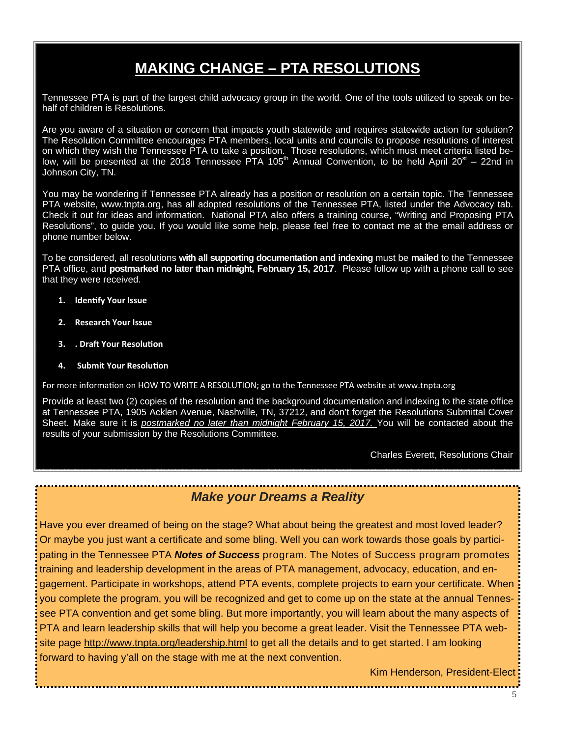# **MAKING CHANGE – PTA RESOLUTIONS**

Tennessee PTA is part of the largest child advocacy group in the world. One of the tools utilized to speak on behalf of children is Resolutions.

Are you aware of a situation or concern that impacts youth statewide and requires statewide action for solution? The Resolution Committee encourages PTA members, local units and councils to propose resolutions of interest on which they wish the Tennessee PTA to take a position. Those resolutions, which must meet criteria listed below, will be presented at the 2018 Tennessee PTA 105<sup>th</sup> Annual Convention, to be held April 20<sup>st</sup> – 22nd in Johnson City, TN.

You may be wondering if Tennessee PTA already has a position or resolution on a certain topic. The Tennessee PTA website, www.tnpta.org, has all adopted resolutions of the Tennessee PTA, listed under the Advocacy tab. Check it out for ideas and information. National PTA also offers a training course, "Writing and Proposing PTA Resolutions", to guide you. If you would like some help, please feel free to contact me at the email address or phone number below.

To be considered, all resolutions **with all supporting documentation and indexing** must be **mailed** to the Tennessee PTA office, and **postmarked no later than midnight, February 15, 2017**. Please follow up with a phone call to see that they were received.

- **1. IdenƟfy Your Issue**
- **2. Research Your Issue**
- **3. . DraŌ Your ResoluƟon**
- **5. Submit Your Resolution**

For more information on HOW TO WRITE A RESOLUTION; go to the Tennessee PTA website at www.tnpta.org

Provide at least two (2) copies of the resolution and the background documentation and indexing to the state office at Tennessee PTA, 1905 Acklen Avenue, Nashville, TN, 37212, and don't forget the Resolutions Submittal Cover Sheet. Make sure it is *postmarked no later than midnight February 15, 2017.* You will be contacted about the results of your submission by the Resolutions Committee.

Charles Everett, Resolutions Chair

## *Make your Dreams a Reality*

Have you ever dreamed of being on the stage? What about being the greatest and most loved leader? Or maybe you just want a certificate and some bling. Well you can work towards those goals by participating in the Tennessee PTA *Notes of Success* program. The Notes of Success program promotes training and leadership development in the areas of PTA management, advocacy, education, and engagement. Participate in workshops, attend PTA events, complete projects to earn your certificate. When you complete the program, you will be recognized and get to come up on the state at the annual Tennessee PTA convention and get some bling. But more importantly, you will learn about the many aspects of PTA and learn leadership skills that will help you become a great leader. Visit the Tennessee PTA website page http://www.tnpta.org/leadership.html to get all the details and to get started. I am looking forward to having y'all on the stage with me at the next convention.

Kim Henderson, President-Elect